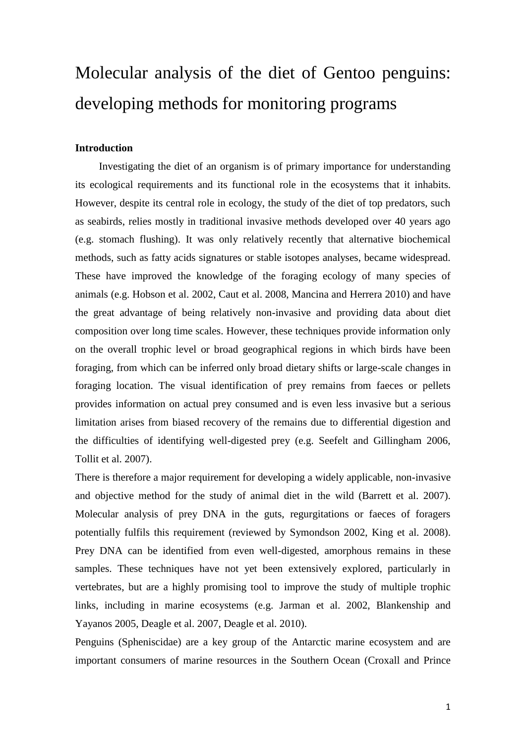# Molecular analysis of the diet of Gentoo penguins: developing methods for monitoring programs

## **Introduction**

Investigating the diet of an organism is of primary importance for understanding its ecological requirements and its functional role in the ecosystems that it inhabits. However, despite its central role in ecology, the study of the diet of top predators, such as seabirds, relies mostly in traditional invasive methods developed over 40 years ago (e.g. stomach flushing). It was only relatively recently that alternative biochemical methods, such as fatty acids signatures or stable isotopes analyses, became widespread. These have improved the knowledge of the foraging ecology of many species of animals (e.g. Hobson et al. 2002, Caut et al. 2008, Mancina and Herrera 2010) and have the great advantage of being relatively non-invasive and providing data about diet composition over long time scales. However, these techniques provide information only on the overall trophic level or broad geographical regions in which birds have been foraging, from which can be inferred only broad dietary shifts or large-scale changes in foraging location. The visual identification of prey remains from faeces or pellets provides information on actual prey consumed and is even less invasive but a serious limitation arises from biased recovery of the remains due to differential digestion and the difficulties of identifying well-digested prey (e.g. Seefelt and Gillingham 2006, Tollit et al. 2007).

There is therefore a major requirement for developing a widely applicable, non-invasive and objective method for the study of animal diet in the wild (Barrett et al. 2007). Molecular analysis of prey DNA in the guts, regurgitations or faeces of foragers potentially fulfils this requirement (reviewed by Symondson 2002, King et al. 2008). Prey DNA can be identified from even well-digested, amorphous remains in these samples. These techniques have not yet been extensively explored, particularly in vertebrates, but are a highly promising tool to improve the study of multiple trophic links, including in marine ecosystems (e.g. Jarman et al. 2002, Blankenship and Yayanos 2005, Deagle et al. 2007, Deagle et al. 2010).

Penguins (Spheniscidae) are a key group of the Antarctic marine ecosystem and are important consumers of marine resources in the Southern Ocean (Croxall and Prince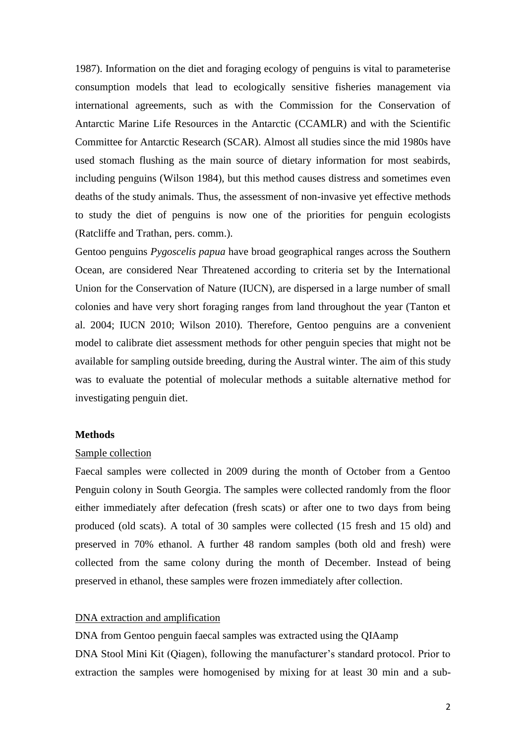1987). Information on the diet and foraging ecology of penguins is vital to parameterise consumption models that lead to ecologically sensitive fisheries management via international agreements, such as with the Commission for the Conservation of Antarctic Marine Life Resources in the Antarctic (CCAMLR) and with the Scientific Committee for Antarctic Research (SCAR). Almost all studies since the mid 1980s have used stomach flushing as the main source of dietary information for most seabirds, including penguins (Wilson 1984), but this method causes distress and sometimes even deaths of the study animals. Thus, the assessment of non-invasive yet effective methods to study the diet of penguins is now one of the priorities for penguin ecologists (Ratcliffe and Trathan, pers. comm.).

Gentoo penguins *Pygoscelis papua* have broad geographical ranges across the Southern Ocean, are considered Near Threatened according to criteria set by the International Union for the Conservation of Nature (IUCN), are dispersed in a large number of small colonies and have very short foraging ranges from land throughout the year (Tanton et al. 2004; IUCN 2010; Wilson 2010). Therefore, Gentoo penguins are a convenient model to calibrate diet assessment methods for other penguin species that might not be available for sampling outside breeding, during the Austral winter. The aim of this study was to evaluate the potential of molecular methods a suitable alternative method for investigating penguin diet.

#### **Methods**

#### Sample collection

Faecal samples were collected in 2009 during the month of October from a Gentoo Penguin colony in South Georgia. The samples were collected randomly from the floor either immediately after defecation (fresh scats) or after one to two days from being produced (old scats). A total of 30 samples were collected (15 fresh and 15 old) and preserved in 70% ethanol. A further 48 random samples (both old and fresh) were collected from the same colony during the month of December. Instead of being preserved in ethanol, these samples were frozen immediately after collection.

# DNA extraction and amplification

DNA from Gentoo penguin faecal samples was extracted using the QIAamp DNA Stool Mini Kit (Qiagen), following the manufacturer's standard protocol. Prior to extraction the samples were homogenised by mixing for at least 30 min and a sub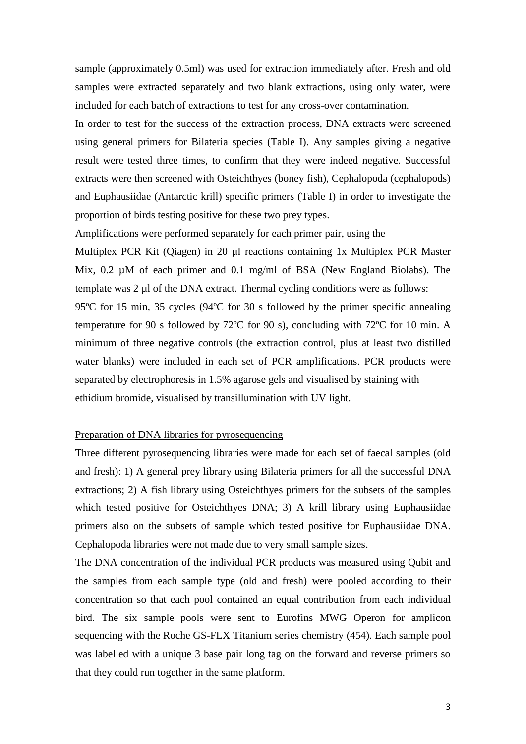sample (approximately 0.5ml) was used for extraction immediately after. Fresh and old samples were extracted separately and two blank extractions, using only water, were included for each batch of extractions to test for any cross-over contamination.

In order to test for the success of the extraction process, DNA extracts were screened using general primers for Bilateria species (Table I). Any samples giving a negative result were tested three times, to confirm that they were indeed negative. Successful extracts were then screened with Osteichthyes (boney fish), Cephalopoda (cephalopods) and Euphausiidae (Antarctic krill) specific primers (Table I) in order to investigate the proportion of birds testing positive for these two prey types.

Amplifications were performed separately for each primer pair, using the

Multiplex PCR Kit (Qiagen) in 20 µl reactions containing 1x Multiplex PCR Master Mix, 0.2  $\mu$ M of each primer and 0.1 mg/ml of BSA (New England Biolabs). The template was 2 µl of the DNA extract. Thermal cycling conditions were as follows: 95ºC for 15 min, 35 cycles (94ºC for 30 s followed by the primer specific annealing temperature for 90 s followed by 72ºC for 90 s), concluding with 72ºC for 10 min. A minimum of three negative controls (the extraction control, plus at least two distilled water blanks) were included in each set of PCR amplifications. PCR products were separated by electrophoresis in 1.5% agarose gels and visualised by staining with ethidium bromide, visualised by transillumination with UV light.

#### Preparation of DNA libraries for pyrosequencing

Three different pyrosequencing libraries were made for each set of faecal samples (old and fresh): 1) A general prey library using Bilateria primers for all the successful DNA extractions; 2) A fish library using Osteichthyes primers for the subsets of the samples which tested positive for Osteichthyes DNA; 3) A krill library using Euphausiidae primers also on the subsets of sample which tested positive for Euphausiidae DNA. Cephalopoda libraries were not made due to very small sample sizes.

The DNA concentration of the individual PCR products was measured using Qubit and the samples from each sample type (old and fresh) were pooled according to their concentration so that each pool contained an equal contribution from each individual bird. The six sample pools were sent to Eurofins MWG Operon for amplicon sequencing with the Roche GS-FLX Titanium series chemistry (454). Each sample pool was labelled with a unique 3 base pair long tag on the forward and reverse primers so that they could run together in the same platform.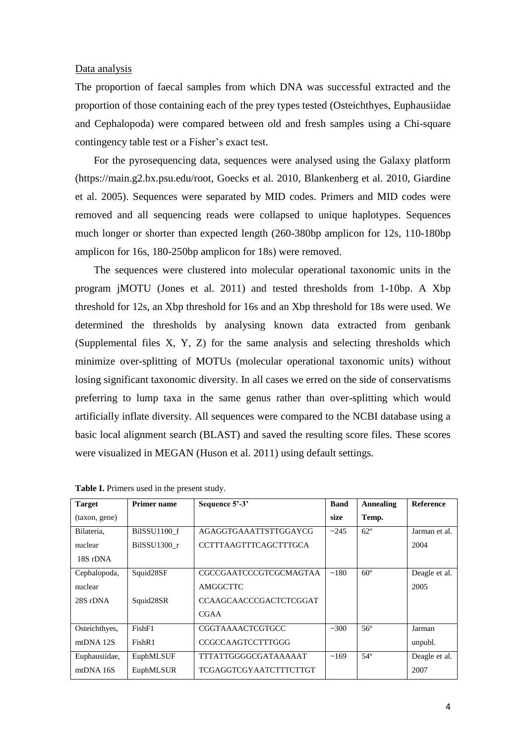#### Data analysis

The proportion of faecal samples from which DNA was successful extracted and the proportion of those containing each of the prey types tested (Osteichthyes, Euphausiidae and Cephalopoda) were compared between old and fresh samples using a Chi-square contingency table test or a Fisher's exact test.

For the pyrosequencing data, sequences were analysed using the Galaxy platform (https://main.g2.bx.psu.edu/root, Goecks et al. 2010, Blankenberg et al. 2010, Giardine et al. 2005). Sequences were separated by MID codes. Primers and MID codes were removed and all sequencing reads were collapsed to unique haplotypes. Sequences much longer or shorter than expected length (260-380bp amplicon for 12s, 110-180bp amplicon for 16s, 180-250bp amplicon for 18s) were removed.

The sequences were clustered into molecular operational taxonomic units in the program jMOTU (Jones et al. 2011) and tested thresholds from 1-10bp. A Xbp threshold for 12s, an Xbp threshold for 16s and an Xbp threshold for 18s were used. We determined the thresholds by analysing known data extracted from genbank (Supplemental files X, Y, Z) for the same analysis and selecting thresholds which minimize over-splitting of MOTUs (molecular operational taxonomic units) without losing significant taxonomic diversity. In all cases we erred on the side of conservatisms preferring to lump taxa in the same genus rather than over-splitting which would artificially inflate diversity. All sequences were compared to the NCBI database using a basic local alignment search (BLAST) and saved the resulting score files. These scores were visualized in MEGAN (Huson et al. 2011) using default settings.

| <b>Target</b> | <b>Primer name</b> | Sequence 5'-3'                | <b>Band</b> | Annealing    | <b>Reference</b> |  |
|---------------|--------------------|-------------------------------|-------------|--------------|------------------|--|
| (taxon, gene) |                    |                               | size        | Temp.        |                  |  |
| Bilateria,    | BilSSU1100 f       | AGAGGTGAAATTSTTGGAYCG         | ~245        | $62^\circ$   | Jarman et al.    |  |
| nuclear       | BilSSU1300 r       | CCTTTAAGTTTCAGCTTTGCA         |             |              | 2004             |  |
| 18S rDNA      |                    |                               |             |              |                  |  |
| Cephalopoda,  | Squid28SF          | <b>CGCCGAATCCCGTCGCMAGTAA</b> | ~180        | $60^\circ$   | Deagle et al.    |  |
| nuclear       |                    | AMGGCTTC                      |             |              | 2005             |  |
| 28S rDNA      | Squid28SR          | <b>CCAAGCAACCCGACTCTCGGAT</b> |             |              |                  |  |
|               |                    | <b>CGAA</b>                   |             |              |                  |  |
| Osteichthyes, | FishF1             | <b>CGGTAAAACTCGTGCC</b>       | ~100        | $56^{\circ}$ | Jarman           |  |
| $mtDNA$ 12S   | FishR1             | <b>CCGCCAAGTCCTTTGGG</b>      |             |              | unpubl.          |  |
| Euphausiidae, | EuphMLSUF          | TTTATTGGGGCGATAAAAAT          | ~169        | 54°          | Deagle et al.    |  |
| mtDNA 16S     | EuphMLSUR          | TCGAGGTCGYAATCTTTCTTGT        |             |              | 2007             |  |

**Table I.** Primers used in the present study.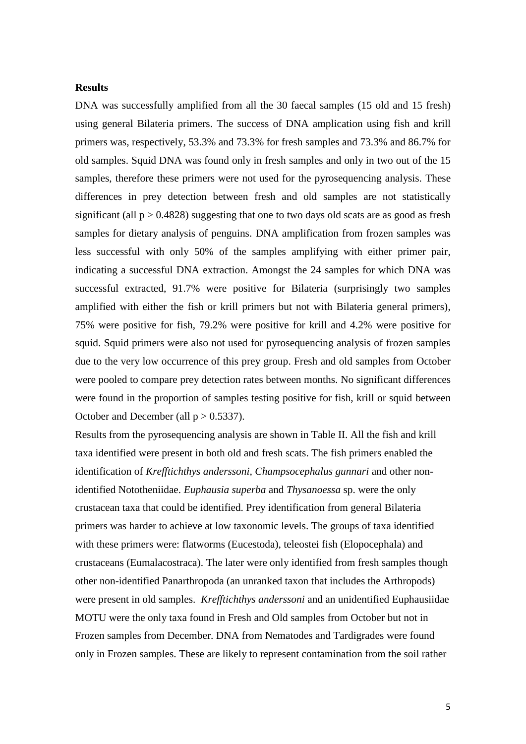## **Results**

DNA was successfully amplified from all the 30 faecal samples (15 old and 15 fresh) using general Bilateria primers. The success of DNA amplication using fish and krill primers was, respectively, 53.3% and 73.3% for fresh samples and 73.3% and 86.7% for old samples. Squid DNA was found only in fresh samples and only in two out of the 15 samples, therefore these primers were not used for the pyrosequencing analysis. These differences in prey detection between fresh and old samples are not statistically significant (all  $p > 0.4828$ ) suggesting that one to two days old scats are as good as fresh samples for dietary analysis of penguins. DNA amplification from frozen samples was less successful with only 50% of the samples amplifying with either primer pair, indicating a successful DNA extraction. Amongst the 24 samples for which DNA was successful extracted, 91.7% were positive for Bilateria (surprisingly two samples amplified with either the fish or krill primers but not with Bilateria general primers), 75% were positive for fish, 79.2% were positive for krill and 4.2% were positive for squid. Squid primers were also not used for pyrosequencing analysis of frozen samples due to the very low occurrence of this prey group. Fresh and old samples from October were pooled to compare prey detection rates between months. No significant differences were found in the proportion of samples testing positive for fish, krill or squid between October and December (all  $p > 0.5337$ ).

Results from the pyrosequencing analysis are shown in Table II. All the fish and krill taxa identified were present in both old and fresh scats. The fish primers enabled the identification of *Krefftichthys anderssoni, Champsocephalus gunnari* and other nonidentified Nototheniidae. *Euphausia superba* and *Thysanoessa* sp. were the only crustacean taxa that could be identified. Prey identification from general Bilateria primers was harder to achieve at low taxonomic levels. The groups of taxa identified with these primers were: flatworms (Eucestoda), teleostei fish (Elopocephala) and crustaceans (Eumalacostraca). The later were only identified from fresh samples though other non-identified Panarthropoda (an unranked taxon that includes the Arthropods) were present in old samples. *Krefftichthys anderssoni* and an unidentified Euphausiidae MOTU were the only taxa found in Fresh and Old samples from October but not in Frozen samples from December. DNA from Nematodes and Tardigrades were found only in Frozen samples. These are likely to represent contamination from the soil rather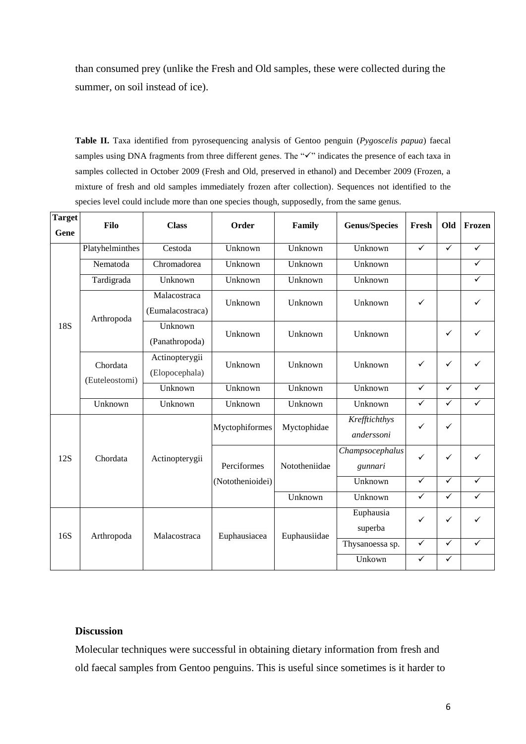than consumed prey (unlike the Fresh and Old samples, these were collected during the summer, on soil instead of ice).

**Table II.** Taxa identified from pyrosequencing analysis of Gentoo penguin (*Pygoscelis papua*) faecal samples using DNA fragments from three different genes. The " $\checkmark$ " indicates the presence of each taxa in samples collected in October 2009 (Fresh and Old, preserved in ethanol) and December 2009 (Frozen, a mixture of fresh and old samples immediately frozen after collection). Sequences not identified to the species level could include more than one species though, supposedly, from the same genus.

| <b>Target</b><br>Gene | Filo            | <b>Class</b>     | Order            | Family        | <b>Genus/Species</b> | Fresh        | Old          | Frozen       |
|-----------------------|-----------------|------------------|------------------|---------------|----------------------|--------------|--------------|--------------|
| <b>18S</b>            | Platyhelminthes | Cestoda          | Unknown          | Unknown       | Unknown              | $\checkmark$ | $\checkmark$ | $\checkmark$ |
|                       | Nematoda        | Chromadorea      | Unknown          | Unknown       | Unknown              |              |              | $\checkmark$ |
|                       | Tardigrada      | Unknown          | Unknown          | Unknown       | Unknown              |              |              | ✓            |
|                       |                 | Malacostraca     | Unknown          | Unknown       | Unknown              | $\checkmark$ |              | ✓            |
|                       | Arthropoda      | (Eumalacostraca) |                  |               |                      |              |              |              |
|                       |                 | Unknown          | Unknown          | Unknown       | Unknown              |              | ✓            | ✓            |
|                       |                 | (Panathropoda)   |                  |               |                      |              |              |              |
|                       | Chordata        | Actinopterygii   | Unknown          | Unknown       | Unknown              | $\checkmark$ | $\checkmark$ | ✓            |
|                       | (Euteleostomi)  | (Elopocephala)   |                  |               |                      |              |              |              |
|                       |                 | Unknown          | Unknown          | Unknown       | Unknown              | $\checkmark$ | $\checkmark$ | $\checkmark$ |
|                       | Unknown         | Unknown          | Unknown          | Unknown       | Unknown              | $\checkmark$ | $\checkmark$ | $\checkmark$ |
| 12S                   |                 | Actinopterygii   | Myctophiformes   | Myctophidae   | Krefftichthys        | $\checkmark$ | $\checkmark$ |              |
|                       |                 |                  |                  |               | anderssoni           |              |              |              |
|                       | Chordata        |                  |                  |               | Champsocephalus      | ✓            | ✓            | ✓            |
|                       |                 |                  | Perciformes      | Nototheniidae | gunnari              |              |              |              |
|                       |                 |                  | (Notothenioidei) |               | Unknown              | $\checkmark$ | $\checkmark$ | ✓            |
|                       |                 |                  |                  | Unknown       | Unknown              | ✓            | $\checkmark$ |              |
| 16S                   |                 | Malacostraca     | Euphausiacea     | Euphausiidae  | Euphausia            | $\checkmark$ | ✓            |              |
|                       | Arthropoda      |                  |                  |               | superba              |              |              |              |
|                       |                 |                  |                  |               | Thysanoessa sp.      | $\checkmark$ | $\checkmark$ | $\checkmark$ |
|                       |                 |                  |                  |               | Unkown               | $\checkmark$ | $\checkmark$ |              |

## **Discussion**

Molecular techniques were successful in obtaining dietary information from fresh and old faecal samples from Gentoo penguins. This is useful since sometimes is it harder to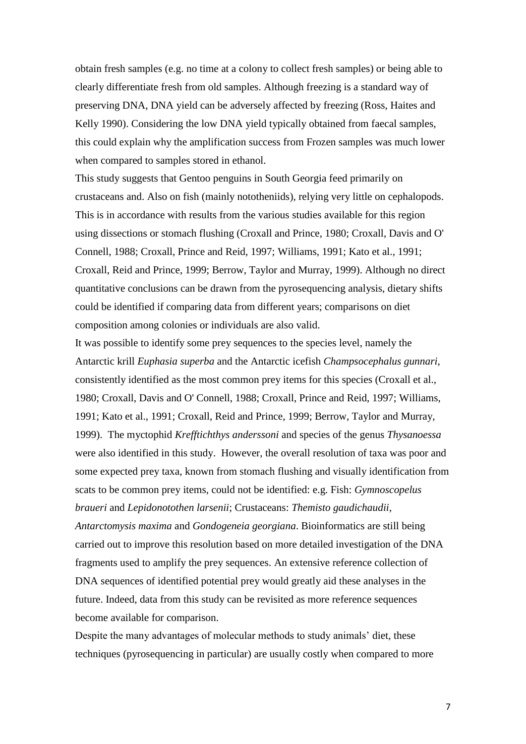obtain fresh samples (e.g. no time at a colony to collect fresh samples) or being able to clearly differentiate fresh from old samples. Although freezing is a standard way of preserving DNA, DNA yield can be adversely affected by freezing (Ross, Haites and Kelly 1990). Considering the low DNA yield typically obtained from faecal samples, this could explain why the amplification success from Frozen samples was much lower when compared to samples stored in ethanol.

This study suggests that Gentoo penguins in South Georgia feed primarily on crustaceans and. Also on fish (mainly nototheniids), relying very little on cephalopods. This is in accordance with results from the various studies available for this region using dissections or stomach flushing (Croxall and Prince, 1980; Croxall, Davis and O' Connell, 1988; Croxall, Prince and Reid, 1997; Williams, 1991; Kato et al., 1991; Croxall, Reid and Prince, 1999; Berrow, Taylor and Murray, 1999). Although no direct quantitative conclusions can be drawn from the pyrosequencing analysis, dietary shifts could be identified if comparing data from different years; comparisons on diet composition among colonies or individuals are also valid.

It was possible to identify some prey sequences to the species level, namely the Antarctic krill *Euphasia superba* and the Antarctic icefish *Champsocephalus gunnari*, consistently identified as the most common prey items for this species (Croxall et al., 1980; Croxall, Davis and O' Connell, 1988; Croxall, Prince and Reid, 1997; Williams, 1991; Kato et al., 1991; Croxall, Reid and Prince, 1999; Berrow, Taylor and Murray, 1999). The myctophid *Krefftichthys anderssoni* and species of the genus *Thysanoessa* were also identified in this study. However, the overall resolution of taxa was poor and some expected prey taxa, known from stomach flushing and visually identification from scats to be common prey items, could not be identified: e.g. Fish: *Gymnoscopelus braueri* and *Lepidonotothen larsenii*; Crustaceans: *Themisto gaudichaudii*, *Antarctomysis maxima* and *Gondogeneia georgiana*. Bioinformatics are still being carried out to improve this resolution based on more detailed investigation of the DNA fragments used to amplify the prey sequences. An extensive reference collection of DNA sequences of identified potential prey would greatly aid these analyses in the future. Indeed, data from this study can be revisited as more reference sequences become available for comparison.

Despite the many advantages of molecular methods to study animals' diet, these techniques (pyrosequencing in particular) are usually costly when compared to more

7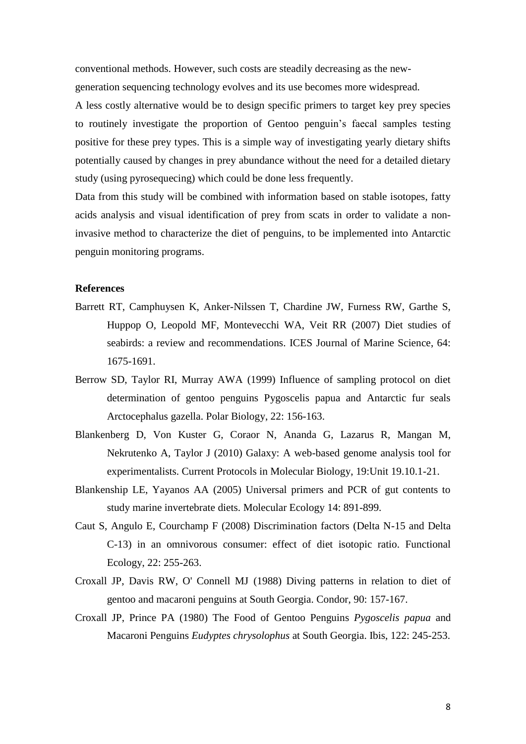conventional methods. However, such costs are steadily decreasing as the newgeneration sequencing technology evolves and its use becomes more widespread.

A less costly alternative would be to design specific primers to target key prey species to routinely investigate the proportion of Gentoo penguin's faecal samples testing positive for these prey types. This is a simple way of investigating yearly dietary shifts potentially caused by changes in prey abundance without the need for a detailed dietary study (using pyrosequecing) which could be done less frequently.

Data from this study will be combined with information based on stable isotopes, fatty acids analysis and visual identification of prey from scats in order to validate a noninvasive method to characterize the diet of penguins, to be implemented into Antarctic penguin monitoring programs.

# **References**

- Barrett RT, Camphuysen K, Anker-Nilssen T, Chardine JW, Furness RW, Garthe S, Huppop O, Leopold MF, Montevecchi WA, Veit RR (2007) Diet studies of seabirds: a review and recommendations. ICES Journal of Marine Science, 64: 1675-1691.
- Berrow SD, Taylor RI, Murray AWA (1999) Influence of sampling protocol on diet determination of gentoo penguins Pygoscelis papua and Antarctic fur seals Arctocephalus gazella. Polar Biology, 22: 156-163.
- Blankenberg D, Von Kuster G, Coraor N, Ananda G, Lazarus R, Mangan M, Nekrutenko A, Taylor J (2010) Galaxy: A web-based genome analysis tool for experimentalists. Current Protocols in Molecular Biology, 19:Unit 19.10.1-21.
- Blankenship LE, Yayanos AA (2005) Universal primers and PCR of gut contents to study marine invertebrate diets. Molecular Ecology 14: 891-899.
- Caut S, Angulo E, Courchamp F (2008) Discrimination factors (Delta N-15 and Delta C-13) in an omnivorous consumer: effect of diet isotopic ratio. Functional Ecology, 22: 255-263.
- Croxall JP, Davis RW, O' Connell MJ (1988) Diving patterns in relation to diet of gentoo and macaroni penguins at South Georgia. Condor, 90: 157-167.
- Croxall JP, Prince PA (1980) The Food of Gentoo Penguins *Pygoscelis papua* and Macaroni Penguins *Eudyptes chrysolophus* at South Georgia. Ibis, 122: 245-253.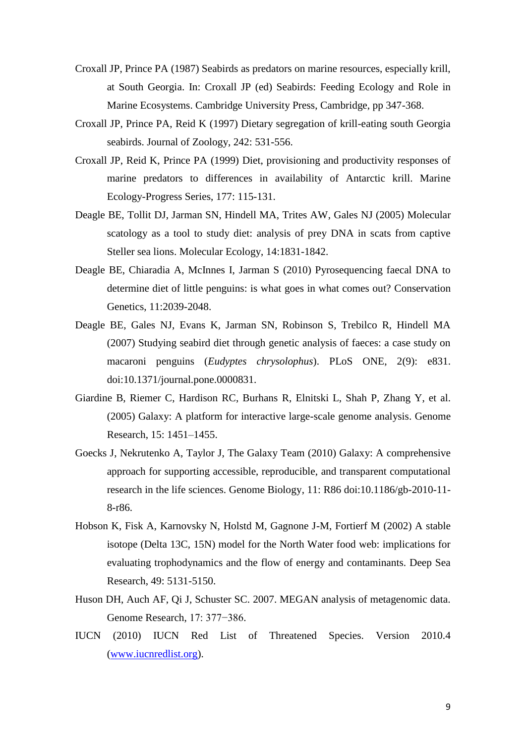- Croxall JP, Prince PA (1987) Seabirds as predators on marine resources, especially krill, at South Georgia. In: Croxall JP (ed) Seabirds: Feeding Ecology and Role in Marine Ecosystems. Cambridge University Press, Cambridge, pp 347-368.
- Croxall JP, Prince PA, Reid K (1997) Dietary segregation of krill-eating south Georgia seabirds. Journal of Zoology, 242: 531-556.
- Croxall JP, Reid K, Prince PA (1999) Diet, provisioning and productivity responses of marine predators to differences in availability of Antarctic krill. Marine Ecology-Progress Series, 177: 115-131.
- Deagle BE, Tollit DJ, Jarman SN, Hindell MA, Trites AW, Gales NJ (2005) Molecular scatology as a tool to study diet: analysis of prey DNA in scats from captive Steller sea lions. Molecular Ecology, 14:1831-1842.
- Deagle BE, Chiaradia A, McInnes I, Jarman S (2010) Pyrosequencing faecal DNA to determine diet of little penguins: is what goes in what comes out? Conservation Genetics, 11:2039-2048.
- Deagle BE, Gales NJ, Evans K, Jarman SN, Robinson S, Trebilco R, Hindell MA (2007) Studying seabird diet through genetic analysis of faeces: a case study on macaroni penguins (*Eudyptes chrysolophus*). PLoS ONE, 2(9): e831. doi:10.1371/journal.pone.0000831.
- Giardine B, Riemer C, Hardison RC, Burhans R, Elnitski L, Shah P, Zhang Y, et al. (2005) Galaxy: A platform for interactive large-scale genome analysis. Genome Research, 15: 1451–1455.
- Goecks J, Nekrutenko A, Taylor J, The Galaxy Team (2010) Galaxy: A comprehensive approach for supporting accessible, reproducible, and transparent computational research in the life sciences. Genome Biology, 11: R86 doi:10.1186/gb-2010-11- 8-r86.
- Hobson K, Fisk A, Karnovsky N, Holstd M, Gagnone J-M, Fortierf M (2002) A stable isotope (Delta 13C, 15N) model for the North Water food web: implications for evaluating trophodynamics and the flow of energy and contaminants. Deep Sea Research, 49: 5131-5150.
- Huson DH, Auch AF, Qi J, Schuster SC. 2007. MEGAN analysis of metagenomic data. Genome Research, 17: 377−386.
- IUCN (2010) IUCN Red List of Threatened Species. Version 2010.4 [\(www.iucnredlist.org\)](http://www.iucnredlist.org/).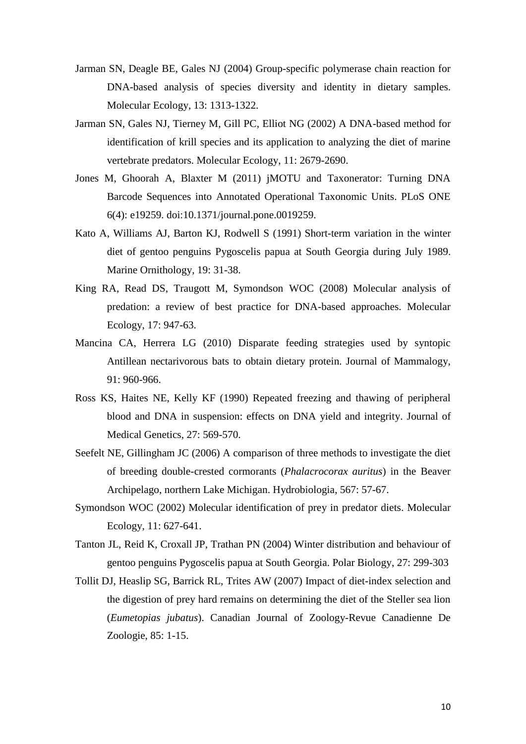- Jarman SN, Deagle BE, Gales NJ (2004) Group-specific polymerase chain reaction for DNA-based analysis of species diversity and identity in dietary samples. Molecular Ecology, 13: 1313-1322.
- Jarman SN, Gales NJ, Tierney M, Gill PC, Elliot NG (2002) A DNA-based method for identification of krill species and its application to analyzing the diet of marine vertebrate predators. Molecular Ecology, 11: 2679-2690.
- Jones M, Ghoorah A, Blaxter M (2011) jMOTU and Taxonerator: Turning DNA Barcode Sequences into Annotated Operational Taxonomic Units. PLoS ONE 6(4): e19259. doi:10.1371/journal.pone.0019259.
- Kato A, Williams AJ, Barton KJ, Rodwell S (1991) Short-term variation in the winter diet of gentoo penguins Pygoscelis papua at South Georgia during July 1989. Marine Ornithology, 19: 31-38.
- King RA, Read DS, Traugott M, Symondson WOC (2008) Molecular analysis of predation: a review of best practice for DNA-based approaches. Molecular Ecology, 17: 947-63.
- Mancina CA, Herrera LG (2010) Disparate feeding strategies used by syntopic Antillean nectarivorous bats to obtain dietary protein. Journal of Mammalogy, 91: 960-966.
- Ross KS, Haites NE, Kelly KF (1990) Repeated freezing and thawing of peripheral blood and DNA in suspension: effects on DNA yield and integrity. Journal of Medical Genetics, 27: 569-570.
- Seefelt NE, Gillingham JC (2006) A comparison of three methods to investigate the diet of breeding double-crested cormorants (*Phalacrocorax auritus*) in the Beaver Archipelago, northern Lake Michigan. Hydrobiologia, 567: 57-67.
- Symondson WOC (2002) Molecular identification of prey in predator diets. Molecular Ecology, 11: 627-641.
- Tanton JL, Reid K, Croxall JP, Trathan PN (2004) Winter distribution and behaviour of gentoo penguins Pygoscelis papua at South Georgia. Polar Biology, 27: 299-303
- Tollit DJ, Heaslip SG, Barrick RL, Trites AW (2007) Impact of diet-index selection and the digestion of prey hard remains on determining the diet of the Steller sea lion (*Eumetopias jubatus*). Canadian Journal of Zoology-Revue Canadienne De Zoologie, 85: 1-15.